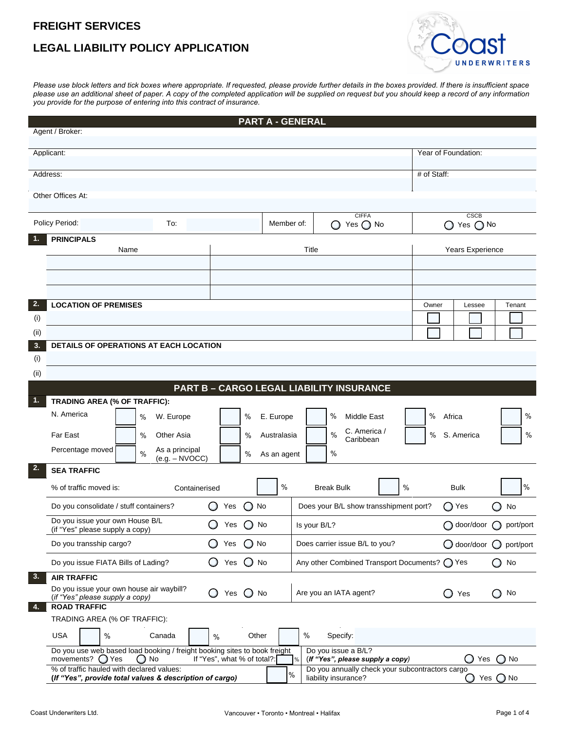## **FREIGHT SERVICES**

## **LEGAL LIABILITY POLICY APPLICATION**



*Please use block letters and tick boxes where appropriate. If requested, please provide further details in the boxes provided. If there is insufficient space please use an additional sheet of paper. A copy of the completed application will be supplied on request but you should keep a record of any information you provide for the purpose of entering into this contract of insurance.* 

|                                                                                                                                                                                         |                                                                                                                                                                                                                        |                                | <b>PART A - GENERAL</b>                |                                                 |             |                         |                                           |
|-----------------------------------------------------------------------------------------------------------------------------------------------------------------------------------------|------------------------------------------------------------------------------------------------------------------------------------------------------------------------------------------------------------------------|--------------------------------|----------------------------------------|-------------------------------------------------|-------------|-------------------------|-------------------------------------------|
| Agent / Broker:                                                                                                                                                                         |                                                                                                                                                                                                                        |                                |                                        |                                                 |             |                         |                                           |
| Applicant:                                                                                                                                                                              |                                                                                                                                                                                                                        |                                |                                        |                                                 |             | Year of Foundation:     |                                           |
| Address:                                                                                                                                                                                |                                                                                                                                                                                                                        |                                |                                        |                                                 | # of Staff: |                         |                                           |
|                                                                                                                                                                                         |                                                                                                                                                                                                                        |                                |                                        |                                                 |             |                         |                                           |
| Other Offices At:                                                                                                                                                                       |                                                                                                                                                                                                                        |                                |                                        |                                                 |             |                         |                                           |
|                                                                                                                                                                                         |                                                                                                                                                                                                                        |                                |                                        | <b>CIFFA</b>                                    |             | <b>CSCB</b>             |                                           |
| Policy Period:                                                                                                                                                                          | To:                                                                                                                                                                                                                    |                                | Member of:                             | Yes $\bigcirc$ No                               |             | Yes $\bigcirc$ No       |                                           |
| <b>PRINCIPALS</b>                                                                                                                                                                       |                                                                                                                                                                                                                        |                                |                                        |                                                 |             |                         |                                           |
|                                                                                                                                                                                         | Name                                                                                                                                                                                                                   |                                |                                        | Title                                           |             | Years Experience        |                                           |
|                                                                                                                                                                                         |                                                                                                                                                                                                                        |                                |                                        |                                                 |             |                         |                                           |
|                                                                                                                                                                                         |                                                                                                                                                                                                                        |                                |                                        |                                                 |             |                         |                                           |
| 2.<br><b>LOCATION OF PREMISES</b>                                                                                                                                                       |                                                                                                                                                                                                                        |                                |                                        |                                                 | Owner       | Lessee                  | Tenant                                    |
| (i)                                                                                                                                                                                     |                                                                                                                                                                                                                        |                                |                                        |                                                 |             |                         |                                           |
| (iii)                                                                                                                                                                                   |                                                                                                                                                                                                                        |                                |                                        |                                                 |             |                         |                                           |
| 3.                                                                                                                                                                                      | DETAILS OF OPERATIONS AT EACH LOCATION                                                                                                                                                                                 |                                |                                        |                                                 |             |                         |                                           |
| (i)                                                                                                                                                                                     |                                                                                                                                                                                                                        |                                |                                        |                                                 |             |                         |                                           |
| (ii)                                                                                                                                                                                    |                                                                                                                                                                                                                        |                                |                                        |                                                 |             |                         |                                           |
|                                                                                                                                                                                         |                                                                                                                                                                                                                        |                                |                                        | <b>PART B - CARGO LEGAL LIABILITY INSURANCE</b> |             |                         |                                           |
| 1.<br>TRADING AREA (% OF TRAFFIC):                                                                                                                                                      |                                                                                                                                                                                                                        |                                |                                        |                                                 |             |                         |                                           |
| N. America                                                                                                                                                                              | W. Europe<br>%                                                                                                                                                                                                         | $\%$                           | E. Europe                              | %<br><b>Middle East</b>                         | %           | Africa                  | $\%$                                      |
| Far East                                                                                                                                                                                | $\%$<br>Other Asia                                                                                                                                                                                                     | $\%$                           | Australasia                            | C. America /<br>$\%$<br>Caribbean               | %           | S. America              | %                                         |
| Percentage moved                                                                                                                                                                        | As a principal<br>$\%$                                                                                                                                                                                                 | %                              | As an agent                            | $\%$                                            |             |                         |                                           |
| 2.<br><b>SEA TRAFFIC</b>                                                                                                                                                                | $(e.g. - NVOCC)$                                                                                                                                                                                                       |                                |                                        |                                                 |             |                         |                                           |
| % of traffic moved is:                                                                                                                                                                  |                                                                                                                                                                                                                        |                                | $\%$                                   | <b>Break Bulk</b>                               | $\%$        | <b>Bulk</b>             | $\%$                                      |
|                                                                                                                                                                                         | Containerised                                                                                                                                                                                                          |                                |                                        |                                                 |             |                         |                                           |
| Do you consolidate / stuff containers?                                                                                                                                                  | $\bigcirc$ No<br>O<br>Yes                                                                                                                                                                                              |                                | Does your B/L show transshipment port? |                                                 | ◯ Yes       | $\bigcirc$<br>No        |                                           |
| Do you issue your own House B/L<br>(if "Yes" please supply a copy)                                                                                                                      | Yes $\bigcirc$ No<br>$\circ$                                                                                                                                                                                           |                                | Is your B/L?                           |                                                 |             | ○ door/door ○ port/port |                                           |
| Do you transship cargo?                                                                                                                                                                 |                                                                                                                                                                                                                        | $\bigcirc$ No<br>$\cup$<br>Yes |                                        | Does carrier issue B/L to you?                  |             |                         | $\bigcirc$ door/door $\bigcirc$ port/port |
| Do you issue FIATA Bills of Lading?                                                                                                                                                     |                                                                                                                                                                                                                        | $\cup$<br>Yes<br>$\bigcup$ No  |                                        | Any other Combined Transport Documents? ( ) Yes |             |                         | $\bigcirc$ No                             |
| 3.<br><b>AIR TRAFFIC</b>                                                                                                                                                                |                                                                                                                                                                                                                        |                                |                                        |                                                 |             |                         |                                           |
| Do you issue your own house air waybill?<br>(if "Yes" please supply a copy)                                                                                                             |                                                                                                                                                                                                                        | Yes $\bigcirc$ No<br>$\cup$    |                                        | Are you an IATA agent?                          |             | $\bigcup$ Yes           | $\bigcirc$ No                             |
| <b>ROAD TRAFFIC</b><br>4.                                                                                                                                                               |                                                                                                                                                                                                                        |                                |                                        |                                                 |             |                         |                                           |
| TRADING AREA (% OF TRAFFIC):                                                                                                                                                            |                                                                                                                                                                                                                        |                                |                                        |                                                 |             |                         |                                           |
| <b>USA</b><br>$\%$                                                                                                                                                                      | Canada                                                                                                                                                                                                                 | Other<br>$\%$                  | $\%$                                   | Specify:                                        |             |                         |                                           |
|                                                                                                                                                                                         | Do you use web based load booking / freight booking sites to book freight<br>Do you issue a B/L?<br>movements? $\bigcirc$ Yes<br>$\bigcirc$ No<br>If "Yes", what % of total?:<br>(If "Yes", please supply a copy)<br>% |                                |                                        |                                                 |             |                         | $\bigcirc$ No<br>Yes                      |
| % of traffic hauled with declared values:<br>Do you annually check your subcontractors cargo<br>$\%$<br>(If "Yes", provide total values & description of cargo)<br>liability insurance? |                                                                                                                                                                                                                        |                                |                                        |                                                 |             |                         | $\bigcirc$ Yes $\bigcirc$ No              |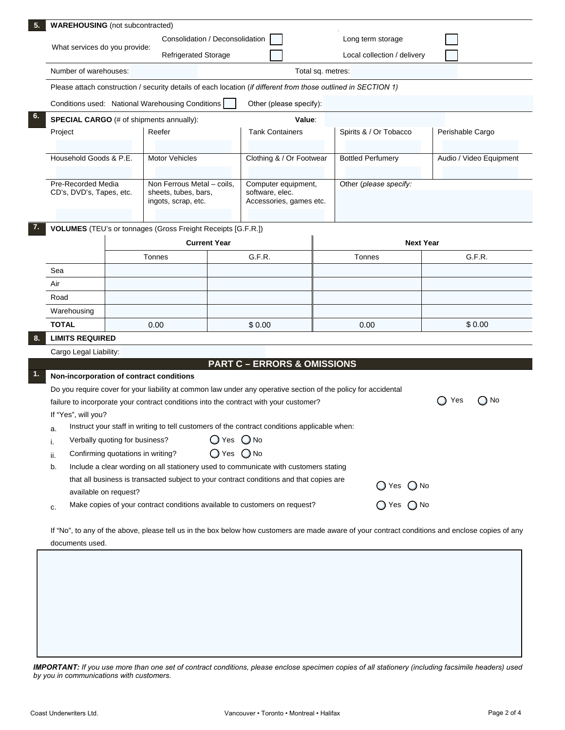|                                                                                                                |  | <b>WAREHOUSING</b> (not subcontracted)                                                                       |                                                              |                                                                                                                |                                                                                                                                                  |                                             |  |  |
|----------------------------------------------------------------------------------------------------------------|--|--------------------------------------------------------------------------------------------------------------|--------------------------------------------------------------|----------------------------------------------------------------------------------------------------------------|--------------------------------------------------------------------------------------------------------------------------------------------------|---------------------------------------------|--|--|
|                                                                                                                |  | Consolidation / Deconsolidation                                                                              |                                                              |                                                                                                                | Long term storage                                                                                                                                |                                             |  |  |
| What services do you provide:<br><b>Refrigerated Storage</b>                                                   |  |                                                                                                              |                                                              | Local collection / delivery                                                                                    |                                                                                                                                                  |                                             |  |  |
| Number of warehouses:                                                                                          |  |                                                                                                              |                                                              | Total sq. metres:                                                                                              |                                                                                                                                                  |                                             |  |  |
| Please attach construction / security details of each location (if different from those outlined in SECTION 1) |  |                                                                                                              |                                                              |                                                                                                                |                                                                                                                                                  |                                             |  |  |
|                                                                                                                |  |                                                                                                              |                                                              | Other (please specify):                                                                                        |                                                                                                                                                  |                                             |  |  |
| Conditions used: National Warehousing Conditions<br><b>SPECIAL CARGO</b> (# of shipments annually):<br>Value:  |  |                                                                                                              |                                                              |                                                                                                                |                                                                                                                                                  |                                             |  |  |
| Project<br>Household Goods & P.E.<br>Pre-Recorded Media<br>CD's, DVD's, Tapes, etc.                            |  | Reefer<br><b>Motor Vehicles</b><br>Non Ferrous Metal - coils,<br>sheets, tubes, bars,<br>ingots, scrap, etc. |                                                              | <b>Tank Containers</b>                                                                                         | Spirits & / Or Tobacco                                                                                                                           | Perishable Cargo<br>Audio / Video Equipment |  |  |
|                                                                                                                |  |                                                                                                              |                                                              | Clothing & / Or Footwear                                                                                       | <b>Bottled Perfumery</b>                                                                                                                         |                                             |  |  |
|                                                                                                                |  |                                                                                                              |                                                              | Computer equipment,<br>software, elec.<br>Accessories, games etc.                                              | Other (please specify:                                                                                                                           |                                             |  |  |
|                                                                                                                |  | <b>Current Year</b>                                                                                          | VOLUMES (TEU's or tonnages (Gross Freight Receipts [G.F.R.]) |                                                                                                                | <b>Next Year</b>                                                                                                                                 |                                             |  |  |
|                                                                                                                |  | Tonnes                                                                                                       |                                                              | G.F.R.                                                                                                         | Tonnes                                                                                                                                           | G.F.R.                                      |  |  |
| Sea                                                                                                            |  |                                                                                                              |                                                              |                                                                                                                |                                                                                                                                                  |                                             |  |  |
| Air                                                                                                            |  |                                                                                                              |                                                              |                                                                                                                |                                                                                                                                                  |                                             |  |  |
| Road                                                                                                           |  |                                                                                                              |                                                              |                                                                                                                |                                                                                                                                                  |                                             |  |  |
| Warehousing                                                                                                    |  |                                                                                                              |                                                              |                                                                                                                |                                                                                                                                                  |                                             |  |  |
| <b>TOTAL</b>                                                                                                   |  | 0.00                                                                                                         |                                                              | \$0.00                                                                                                         | 0.00                                                                                                                                             | \$0.00                                      |  |  |
| <b>LIMITS REQUIRED</b>                                                                                         |  |                                                                                                              |                                                              |                                                                                                                |                                                                                                                                                  |                                             |  |  |
|                                                                                                                |  | Non-incorporation of contract conditions                                                                     |                                                              | <b>PART C - ERRORS &amp; OMISSIONS</b>                                                                         |                                                                                                                                                  |                                             |  |  |
|                                                                                                                |  |                                                                                                              |                                                              | Do you require cover for your liability at common law under any operative section of the policy for accidental |                                                                                                                                                  | Yes<br>( ) No<br>$\Box$                     |  |  |
| If "Yes", will you?                                                                                            |  |                                                                                                              |                                                              | failure to incorporate your contract conditions into the contract with your customer?                          |                                                                                                                                                  |                                             |  |  |
| a.                                                                                                             |  |                                                                                                              |                                                              | Instruct your staff in writing to tell customers of the contract conditions applicable when:                   |                                                                                                                                                  |                                             |  |  |
| Verbally quoting for business?<br>i.                                                                           |  |                                                                                                              | $Q$ Yes $Q$ No                                               |                                                                                                                |                                                                                                                                                  |                                             |  |  |
| Confirming quotations in writing?<br>ii.                                                                       |  |                                                                                                              | $\bigcirc$ Yes $\bigcirc$ No                                 |                                                                                                                |                                                                                                                                                  |                                             |  |  |
| b.                                                                                                             |  |                                                                                                              |                                                              | Include a clear wording on all stationery used to communicate with customers stating                           |                                                                                                                                                  |                                             |  |  |
|                                                                                                                |  |                                                                                                              |                                                              | that all business is transacted subject to your contract conditions and that copies are                        | $\bigcirc$ Yes $\bigcirc$ No                                                                                                                     |                                             |  |  |
| available on request?                                                                                          |  |                                                                                                              |                                                              |                                                                                                                |                                                                                                                                                  |                                             |  |  |
| c.                                                                                                             |  |                                                                                                              |                                                              | Make copies of your contract conditions available to customers on request?                                     | $\bigcirc$ Yes $\bigcirc$ No                                                                                                                     |                                             |  |  |
| documents used.                                                                                                |  |                                                                                                              |                                                              |                                                                                                                | If "No", to any of the above, please tell us in the box below how customers are made aware of your contract conditions and enclose copies of any |                                             |  |  |

*IMPORTANT: If you use more than one set of contract conditions, please enclose specimen copies of all stationery (including facsimile headers) used by you in communications with customers.*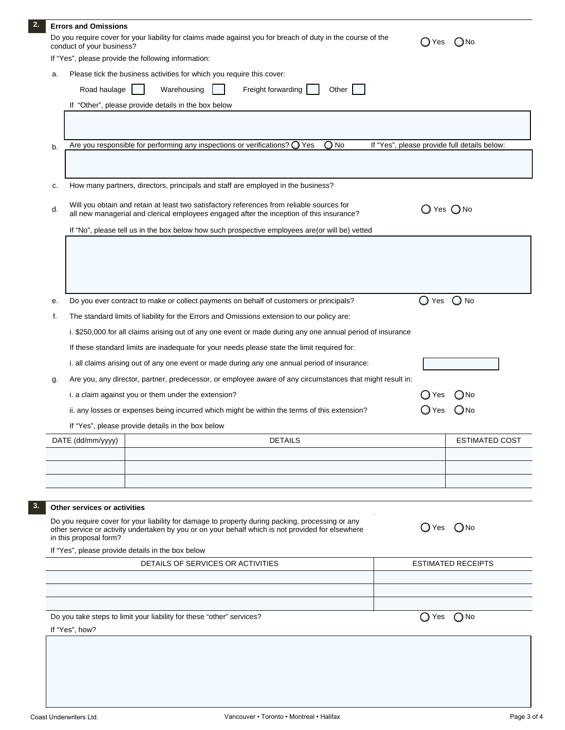|                                                                                                                                                           | <b>Errors and Omissions</b>                                                                                                                                                                                           |                                                                                                            |                           |                                              |  |  |  |  |
|-----------------------------------------------------------------------------------------------------------------------------------------------------------|-----------------------------------------------------------------------------------------------------------------------------------------------------------------------------------------------------------------------|------------------------------------------------------------------------------------------------------------|---------------------------|----------------------------------------------|--|--|--|--|
| Do you require cover for your liability for claims made against you for breach of duty in the course of the<br>◯ Yes<br>(JNo<br>conduct of your business? |                                                                                                                                                                                                                       |                                                                                                            |                           |                                              |  |  |  |  |
|                                                                                                                                                           | If "Yes", please provide the following information:                                                                                                                                                                   |                                                                                                            |                           |                                              |  |  |  |  |
| а.                                                                                                                                                        | Please tick the business activities for which you require this cover:                                                                                                                                                 |                                                                                                            |                           |                                              |  |  |  |  |
|                                                                                                                                                           | Road haulage                                                                                                                                                                                                          | Warehousing<br>Freight forwarding<br>Other                                                                 |                           |                                              |  |  |  |  |
| If "Other", please provide details in the box below                                                                                                       |                                                                                                                                                                                                                       |                                                                                                            |                           |                                              |  |  |  |  |
|                                                                                                                                                           |                                                                                                                                                                                                                       |                                                                                                            |                           |                                              |  |  |  |  |
| b.                                                                                                                                                        |                                                                                                                                                                                                                       | Are you responsible for performing any inspections or verifications? $\bigcirc$ Yes<br>$\bigcirc$ No       |                           | If "Yes", please provide full details below: |  |  |  |  |
|                                                                                                                                                           |                                                                                                                                                                                                                       |                                                                                                            |                           |                                              |  |  |  |  |
| c.                                                                                                                                                        |                                                                                                                                                                                                                       | How many partners, directors, principals and staff are employed in the business?                           |                           |                                              |  |  |  |  |
| d.                                                                                                                                                        | Will you obtain and retain at least two satisfactory references from reliable sources for<br>$\bigcirc$ Yes $\bigcirc$ No<br>all new managerial and clerical employees engaged after the inception of this insurance? |                                                                                                            |                           |                                              |  |  |  |  |
|                                                                                                                                                           |                                                                                                                                                                                                                       | If "No", please tell us in the box below how such prospective employees are (or will be) vetted            |                           |                                              |  |  |  |  |
|                                                                                                                                                           |                                                                                                                                                                                                                       |                                                                                                            |                           |                                              |  |  |  |  |
|                                                                                                                                                           |                                                                                                                                                                                                                       |                                                                                                            |                           |                                              |  |  |  |  |
|                                                                                                                                                           |                                                                                                                                                                                                                       |                                                                                                            |                           |                                              |  |  |  |  |
|                                                                                                                                                           |                                                                                                                                                                                                                       |                                                                                                            |                           |                                              |  |  |  |  |
| е.                                                                                                                                                        |                                                                                                                                                                                                                       | Do you ever contract to make or collect payments on behalf of customers or principals?                     | $\bigcirc$ Yes            | $\bigcirc$ No                                |  |  |  |  |
| f.                                                                                                                                                        |                                                                                                                                                                                                                       | The standard limits of liability for the Errors and Omissions extension to our policy are:                 |                           |                                              |  |  |  |  |
|                                                                                                                                                           |                                                                                                                                                                                                                       | i. \$250,000 for all claims arising out of any one event or made during any one annual period of insurance |                           |                                              |  |  |  |  |
|                                                                                                                                                           |                                                                                                                                                                                                                       | If these standard limits are inadequate for your needs please state the limit required for:                |                           |                                              |  |  |  |  |
|                                                                                                                                                           |                                                                                                                                                                                                                       | i. all claims arising out of any one event or made during any one annual period of insurance:              |                           |                                              |  |  |  |  |
|                                                                                                                                                           |                                                                                                                                                                                                                       | Are you, any director, partner, predecessor, or employee aware of any circumstances that might result in:  |                           |                                              |  |  |  |  |
| g.                                                                                                                                                        |                                                                                                                                                                                                                       |                                                                                                            |                           |                                              |  |  |  |  |
|                                                                                                                                                           |                                                                                                                                                                                                                       | i. a claim against you or them under the extension?                                                        | D Yes                     | (_)No                                        |  |  |  |  |
|                                                                                                                                                           |                                                                                                                                                                                                                       | ii. any losses or expenses being incurred which might be within the terms of this extension?               | ) Yes                     | (JNo                                         |  |  |  |  |
|                                                                                                                                                           |                                                                                                                                                                                                                       | If "Yes", please provide details in the box below                                                          |                           |                                              |  |  |  |  |
|                                                                                                                                                           | DATE (dd/mm/yyyy)                                                                                                                                                                                                     | <b>DETAILS</b>                                                                                             |                           | <b>ESTIMATED COST</b>                        |  |  |  |  |
|                                                                                                                                                           |                                                                                                                                                                                                                       |                                                                                                            |                           |                                              |  |  |  |  |
|                                                                                                                                                           |                                                                                                                                                                                                                       |                                                                                                            |                           |                                              |  |  |  |  |
|                                                                                                                                                           |                                                                                                                                                                                                                       |                                                                                                            |                           |                                              |  |  |  |  |
|                                                                                                                                                           | Other services or activities                                                                                                                                                                                          |                                                                                                            |                           |                                              |  |  |  |  |
|                                                                                                                                                           |                                                                                                                                                                                                                       | Do you require cover for your liability for damage to property during packing, processing or any           |                           |                                              |  |  |  |  |
|                                                                                                                                                           | in this proposal form?                                                                                                                                                                                                | other service or activity undertaken by you or on your behalf which is not provided for elsewhere          |                           | $O$ Yes $O$ No                               |  |  |  |  |
|                                                                                                                                                           |                                                                                                                                                                                                                       | If "Yes", please provide details in the box below                                                          |                           |                                              |  |  |  |  |
|                                                                                                                                                           |                                                                                                                                                                                                                       |                                                                                                            | <b>ESTIMATED RECEIPTS</b> |                                              |  |  |  |  |
|                                                                                                                                                           |                                                                                                                                                                                                                       |                                                                                                            |                           |                                              |  |  |  |  |
|                                                                                                                                                           |                                                                                                                                                                                                                       |                                                                                                            |                           |                                              |  |  |  |  |
|                                                                                                                                                           |                                                                                                                                                                                                                       |                                                                                                            |                           |                                              |  |  |  |  |
| Do you take steps to limit your liability for these "other" services?<br>◯ Yes<br>If "Yes", how?                                                          |                                                                                                                                                                                                                       |                                                                                                            |                           | $\bigcirc$ No                                |  |  |  |  |
|                                                                                                                                                           |                                                                                                                                                                                                                       |                                                                                                            |                           |                                              |  |  |  |  |
|                                                                                                                                                           |                                                                                                                                                                                                                       |                                                                                                            |                           |                                              |  |  |  |  |
|                                                                                                                                                           |                                                                                                                                                                                                                       |                                                                                                            |                           |                                              |  |  |  |  |